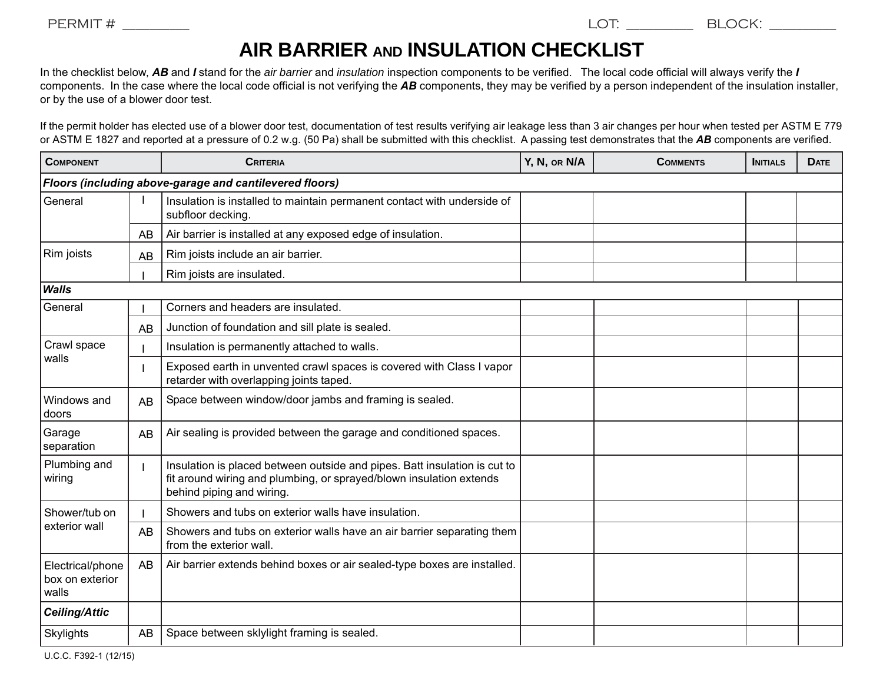## **AIR BARRIER AND INSULATION CHECKLIST**

In the checklist below, *AB* and *I* stand for the *air barrier* and *insulation* inspection components to be verified. The local code official will always verify the *I* components. In the case where the local code official is not verifying the *AB* components, they may be verified by a person independent of the insulation installer, or by the use of a blower door test.

If the permit holder has elected use of a blower door test, documentation of test results verifying air leakage less than 3 air changes per hour when tested per ASTM E 779 or ASTM E 1827 and reported at a pressure of 0.2 w.g. (50 Pa) shall be submitted with this checklist. A passing test demonstrates that the *AB* components are verified.

| <b>COMPONENT</b>                                        |    | <b>CRITERIA</b>                                                                                                                                                               | Y, N, or N/A | <b>COMMENTS</b> | <b>INITIALS</b> | <b>DATE</b> |  |  |  |  |
|---------------------------------------------------------|----|-------------------------------------------------------------------------------------------------------------------------------------------------------------------------------|--------------|-----------------|-----------------|-------------|--|--|--|--|
| Floors (including above-garage and cantilevered floors) |    |                                                                                                                                                                               |              |                 |                 |             |  |  |  |  |
| General                                                 |    | Insulation is installed to maintain permanent contact with underside of<br>subfloor decking.                                                                                  |              |                 |                 |             |  |  |  |  |
|                                                         | AB | Air barrier is installed at any exposed edge of insulation.                                                                                                                   |              |                 |                 |             |  |  |  |  |
| Rim joists                                              | AB | Rim joists include an air barrier.                                                                                                                                            |              |                 |                 |             |  |  |  |  |
|                                                         |    | Rim joists are insulated.                                                                                                                                                     |              |                 |                 |             |  |  |  |  |
| <b>Walls</b>                                            |    |                                                                                                                                                                               |              |                 |                 |             |  |  |  |  |
| General                                                 |    | Corners and headers are insulated.                                                                                                                                            |              |                 |                 |             |  |  |  |  |
|                                                         | AB | Junction of foundation and sill plate is sealed.                                                                                                                              |              |                 |                 |             |  |  |  |  |
| Crawl space<br>walls                                    |    | Insulation is permanently attached to walls.                                                                                                                                  |              |                 |                 |             |  |  |  |  |
|                                                         |    | Exposed earth in unvented crawl spaces is covered with Class I vapor<br>retarder with overlapping joints taped.                                                               |              |                 |                 |             |  |  |  |  |
| Windows and<br> doors                                   | AB | Space between window/door jambs and framing is sealed.                                                                                                                        |              |                 |                 |             |  |  |  |  |
| Garage<br>separation                                    | AB | Air sealing is provided between the garage and conditioned spaces.                                                                                                            |              |                 |                 |             |  |  |  |  |
| Plumbing and<br>wiring                                  |    | Insulation is placed between outside and pipes. Batt insulation is cut to<br>fit around wiring and plumbing, or sprayed/blown insulation extends<br>behind piping and wiring. |              |                 |                 |             |  |  |  |  |
| Shower/tub on<br>exterior wall                          |    | Showers and tubs on exterior walls have insulation.                                                                                                                           |              |                 |                 |             |  |  |  |  |
|                                                         | AB | Showers and tubs on exterior walls have an air barrier separating them<br>from the exterior wall.                                                                             |              |                 |                 |             |  |  |  |  |
| Electrical/phone<br>box on exterior<br>walls            | AB | Air barrier extends behind boxes or air sealed-type boxes are installed.                                                                                                      |              |                 |                 |             |  |  |  |  |
| Ceiling/Attic                                           |    |                                                                                                                                                                               |              |                 |                 |             |  |  |  |  |
| <b>Skylights</b>                                        | AB | Space between sklylight framing is sealed.                                                                                                                                    |              |                 |                 |             |  |  |  |  |